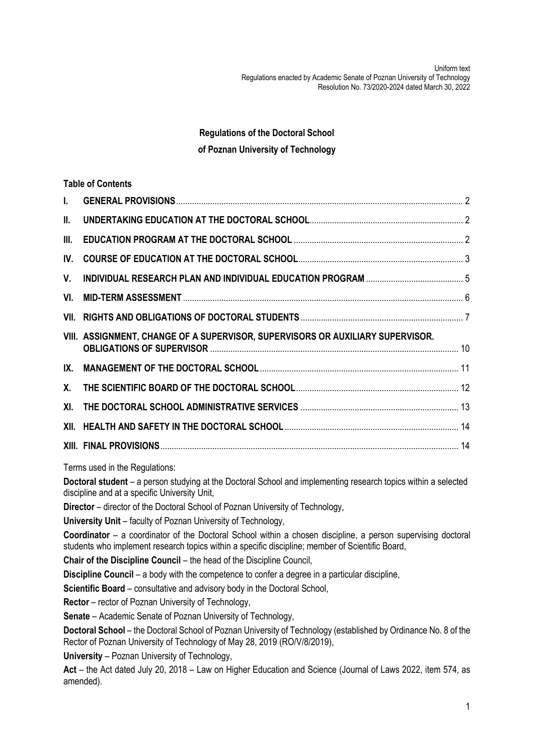Uniform text Regulations enacted by Academic Senate of Poznan University of Technology Resolution No. 73/2020-2024 dated March 30, 2022

# **Regulations of the Doctoral School of Poznan University of Technology**

|            | <b>Table of Contents</b>                                                       |  |
|------------|--------------------------------------------------------------------------------|--|
| L.         |                                                                                |  |
| II.        |                                                                                |  |
| III.       |                                                                                |  |
| IV.        |                                                                                |  |
| V.         |                                                                                |  |
| VI.        |                                                                                |  |
|            |                                                                                |  |
|            | VIII. ASSIGNMENT, CHANGE OF A SUPERVISOR, SUPERVISORS OR AUXILIARY SUPERVISOR. |  |
| IX.        |                                                                                |  |
| <b>X</b> . |                                                                                |  |
| XI.        |                                                                                |  |
|            |                                                                                |  |
|            |                                                                                |  |

Terms used in the Regulations:

**Doctoral student** – a person studying at the Doctoral School and implementing research topics within a selected discipline and at a specific University Unit,

**Director** – director of the Doctoral School of Poznan University of Technology,

**University Unit** – faculty of Poznan University of Technology,

**Coordinator** – a coordinator of the Doctoral School within a chosen discipline, a person supervising doctoral students who implement research topics within a specific discipline; member of Scientific Board,

**Chair of the Discipline Council** – the head of the Discipline Council,

**Discipline Council** – a body with the competence to confer a degree in a particular discipline,

**Scientific Board** – consultative and advisory body in the Doctoral School,

**Rector** – rector of Poznan University of Technology,

**Senate** – Academic Senate of Poznan University of Technology,

**Doctoral School** – the Doctoral School of Poznan University of Technology (established by Ordinance No. 8 of the Rector of Poznan University of Technology of May 28, 2019 (RO/V/8/2019),

**University** – Poznan University of Technology,

**Act** – the Act dated July 20, 2018 – Law on Higher Education and Science (Journal of Laws 2022, item 574, as amended).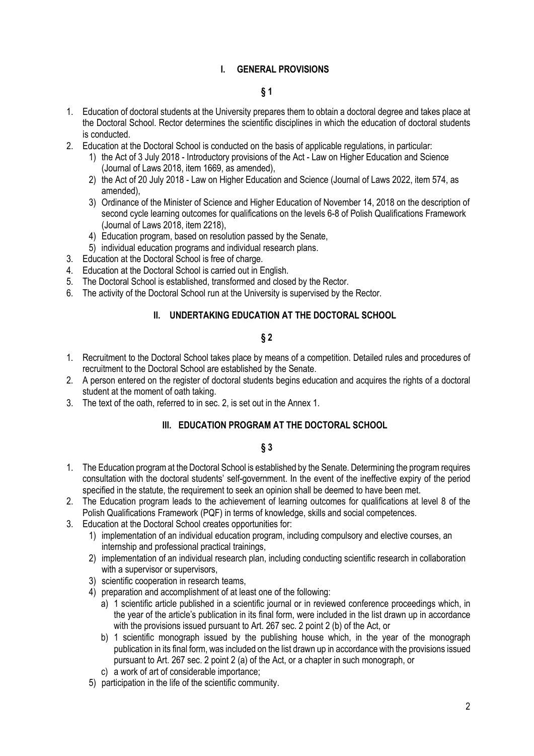### **I. GENERAL PROVISIONS**

### **§ 1**

- <span id="page-1-0"></span>1. Education of doctoral students at the University prepares them to obtain a doctoral degree and takes place at the Doctoral School. Rector determines the scientific disciplines in which the education of doctoral students is conducted.
- 2. Education at the Doctoral School is conducted on the basis of applicable regulations, in particular:
	- 1) the Act of 3 July 2018 Introductory provisions of the Act Law on Higher Education and Science (Journal of Laws 2018, item 1669, as amended),
	- 2) the Act of 20 July 2018 Law on Higher Education and Science (Journal of Laws 2022, item 574, as amended),
	- 3) Ordinance of the Minister of Science and Higher Education of November 14, 2018 on the description of second cycle learning outcomes for qualifications on the levels 6-8 of Polish Qualifications Framework (Journal of Laws 2018, item 2218),
	- 4) Education program, based on resolution passed by the Senate,
	- 5) individual education programs and individual research plans.
- 3. Education at the Doctoral School is free of charge.
- 4. Education at the Doctoral School is carried out in English.
- 5. The Doctoral School is established, transformed and closed by the Rector.
- <span id="page-1-1"></span>6. The activity of the Doctoral School run at the University is supervised by the Rector.

### **II. UNDERTAKING EDUCATION AT THE DOCTORAL SCHOOL**

# **§ 2**

- 1. Recruitment to the Doctoral School takes place by means of a competition. Detailed rules and procedures of recruitment to the Doctoral School are established by the Senate.
- 2. A person entered on the register of doctoral students begins education and acquires the rights of a doctoral student at the moment of oath taking.
- <span id="page-1-2"></span>3. The text of the oath, referred to in sec. 2, is set out in the Annex 1.

#### **III. EDUCATION PROGRAM AT THE DOCTORAL SCHOOL**

- 1. The Education program at the Doctoral School is established by the Senate. Determining the program requires consultation with the doctoral students' self-government. In the event of the ineffective expiry of the period specified in the statute, the requirement to seek an opinion shall be deemed to have been met.
- 2. The Education program leads to the achievement of learning outcomes for qualifications at level 8 of the Polish Qualifications Framework (PQF) in terms of knowledge, skills and social competences.
- 3. Education at the Doctoral School creates opportunities for:
	- 1) implementation of an individual education program, including compulsory and elective courses, an internship and professional practical trainings,
	- 2) implementation of an individual research plan, including conducting scientific research in collaboration with a supervisor or supervisors.
	- 3) scientific cooperation in research teams,
	- 4) preparation and accomplishment of at least one of the following:
		- a) 1 scientific article published in a scientific journal or in reviewed conference proceedings which, in the year of the article's publication in its final form, were included in the list drawn up in accordance with the provisions issued pursuant to Art. 267 sec. 2 point 2 (b) of the Act, or
		- b) 1 scientific monograph issued by the publishing house which, in the year of the monograph publication in its final form, was included on the list drawn up in accordance with the provisions issued pursuant to Art. 267 sec. 2 point 2 (a) of the Act, or a chapter in such monograph, or
		- c) a work of art of considerable importance;
	- 5) participation in the life of the scientific community.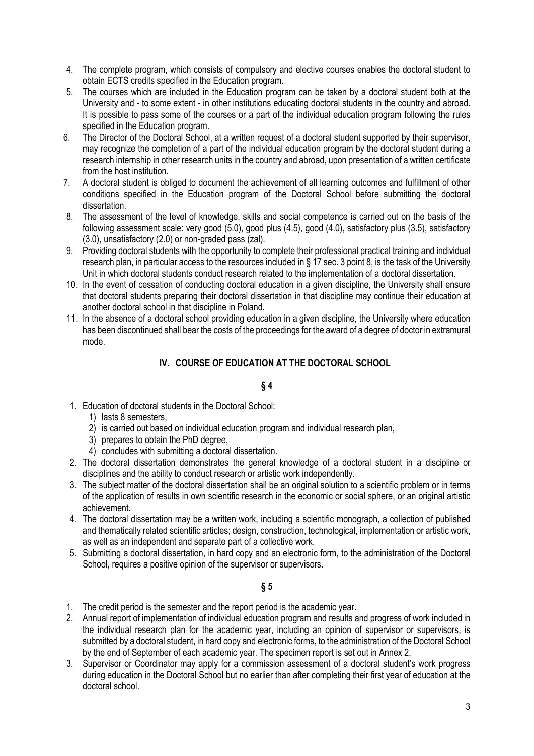- 4. The complete program, which consists of compulsory and elective courses enables the doctoral student to obtain ECTS credits specified in the Education program.
- 5. The courses which are included in the Education program can be taken by a doctoral student both at the University and - to some extent - in other institutions educating doctoral students in the country and abroad. It is possible to pass some of the courses or a part of the individual education program following the rules specified in the Education program.
- 6. The Director of the Doctoral School, at a written request of a doctoral student supported by their supervisor, may recognize the completion of a part of the individual education program by the doctoral student during a research internship in other research units in the country and abroad, upon presentation of a written certificate from the host institution.
- 7. A doctoral student is obliged to document the achievement of all learning outcomes and fulfillment of other conditions specified in the Education program of the Doctoral School before submitting the doctoral dissertation.
- 8. The assessment of the level of knowledge, skills and social competence is carried out on the basis of the following assessment scale: very good (5.0), good plus (4.5), good (4.0), satisfactory plus (3.5), satisfactory (3.0), unsatisfactory (2.0) or non-graded pass (zal).
- 9. Providing doctoral students with the opportunity to complete their professional practical training and individual research plan, in particular access to the resources included in § 17 sec. 3 point 8, is the task of the University Unit in which doctoral students conduct research related to the implementation of a doctoral dissertation.
- 10. In the event of cessation of conducting doctoral education in a given discipline, the University shall ensure that doctoral students preparing their doctoral dissertation in that discipline may continue their education at another doctoral school in that discipline in Poland.
- <span id="page-2-0"></span>11. In the absence of a doctoral school providing education in a given discipline, the University where education has been discontinued shall bear the costs of the proceedings for the award of a degree of doctor in extramural mode.

# **IV. COURSE OF EDUCATION AT THE DOCTORAL SCHOOL**

# **§ 4**

- 1. Education of doctoral students in the Doctoral School:
	- 1) lasts 8 semesters,
	- 2) is carried out based on individual education program and individual research plan,
	- 3) prepares to obtain the PhD degree,
	- 4) concludes with submitting a doctoral dissertation.
- 2. The doctoral dissertation demonstrates the general knowledge of a doctoral student in a discipline or disciplines and the ability to conduct research or artistic work independently.
- 3. The subject matter of the doctoral dissertation shall be an original solution to a scientific problem or in terms of the application of results in own scientific research in the economic or social sphere, or an original artistic achievement.
- 4. The doctoral dissertation may be a written work, including a scientific monograph, a collection of published and thematically related scientific articles; design, construction, technological, implementation or artistic work, as well as an independent and separate part of a collective work.
- 5. Submitting a doctoral dissertation, in hard copy and an electronic form, to the administration of the Doctoral School, requires a positive opinion of the supervisor or supervisors.

- 1. The credit period is the semester and the report period is the academic year.
- 2. Annual report of implementation of individual education program and results and progress of work included in the individual research plan for the academic year, including an opinion of supervisor or supervisors, is submitted by a doctoral student, in hard copy and electronic forms, to the administration of the Doctoral School by the end of September of each academic year. The specimen report is set out in Annex 2.
- 3. Supervisor or Coordinator may apply for a commission assessment of a doctoral student's work progress during education in the Doctoral School but no earlier than after completing their first year of education at the doctoral school.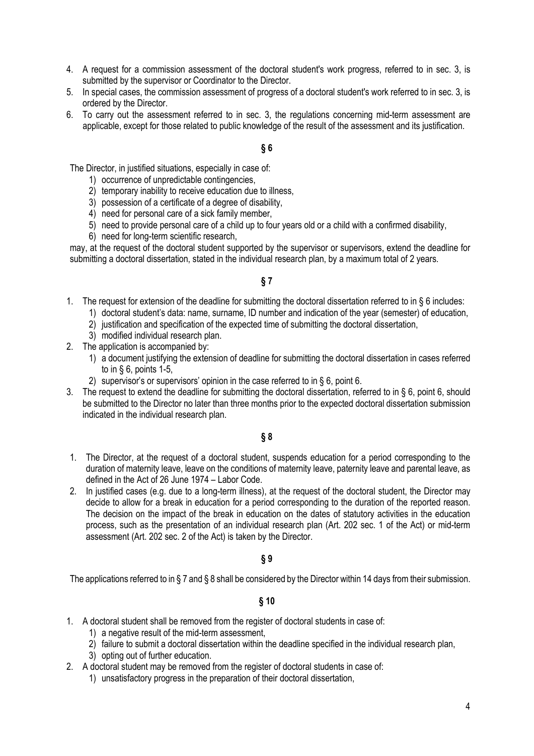- 4. A request for a commission assessment of the doctoral student's work progress, referred to in sec. 3, is submitted by the supervisor or Coordinator to the Director.
- 5. In special cases, the commission assessment of progress of a doctoral student's work referred to in sec. 3, is ordered by the Director.
- 6. To carry out the assessment referred to in sec. 3, the regulations concerning mid-term assessment are applicable, except for those related to public knowledge of the result of the assessment and its justification.

The Director, in justified situations, especially in case of:

- 1) occurrence of unpredictable contingencies,
- 2) temporary inability to receive education due to illness,
- 3) possession of a certificate of a degree of disability,
- 4) need for personal care of a sick family member,
- 5) need to provide personal care of a child up to four years old or a child with a confirmed disability,
- 6) need for long-term scientific research,

may, at the request of the doctoral student supported by the supervisor or supervisors, extend the deadline for submitting a doctoral dissertation, stated in the individual research plan, by a maximum total of 2 years.

### **§ 7**

- 1. The request for extension of the deadline for submitting the doctoral dissertation referred to in § 6 includes:
	- 1) doctoral student's data: name, surname, ID number and indication of the year (semester) of education,
	- 2) justification and specification of the expected time of submitting the doctoral dissertation,
	- 3) modified individual research plan.
- 2. The application is accompanied by:
	- 1) a document justifying the extension of deadline for submitting the doctoral dissertation in cases referred to in § 6, points 1-5,
	- 2) supervisor's or supervisors' opinion in the case referred to in § 6, point 6.
- 3. The request to extend the deadline for submitting the doctoral dissertation, referred to in § 6, point 6, should be submitted to the Director no later than three months prior to the expected doctoral dissertation submission indicated in the individual research plan.

#### **§ 8**

- 1. The Director, at the request of a doctoral student, suspends education for a period corresponding to the duration of maternity leave, leave on the conditions of maternity leave, paternity leave and parental leave, as defined in the Act of 26 June 1974 – Labor Code.
- 2. In justified cases (e.g. due to a long-term illness), at the request of the doctoral student, the Director may decide to allow for a break in education for a period corresponding to the duration of the reported reason. The decision on the impact of the break in education on the dates of statutory activities in the education process, such as the presentation of an individual research plan (Art. 202 sec. 1 of the Act) or mid-term assessment (Art. 202 sec. 2 of the Act) is taken by the Director.

#### **§ 9**

The applications referred to in § 7 and § 8 shall be considered by the Director within 14 days from their submission.

- 1. A doctoral student shall be removed from the register of doctoral students in case of:
	- 1) a negative result of the mid-term assessment,
	- 2) failure to submit a doctoral dissertation within the deadline specified in the individual research plan,
	- 3) opting out of further education.
- 2. A doctoral student may be removed from the register of doctoral students in case of:
	- 1) unsatisfactory progress in the preparation of their doctoral dissertation,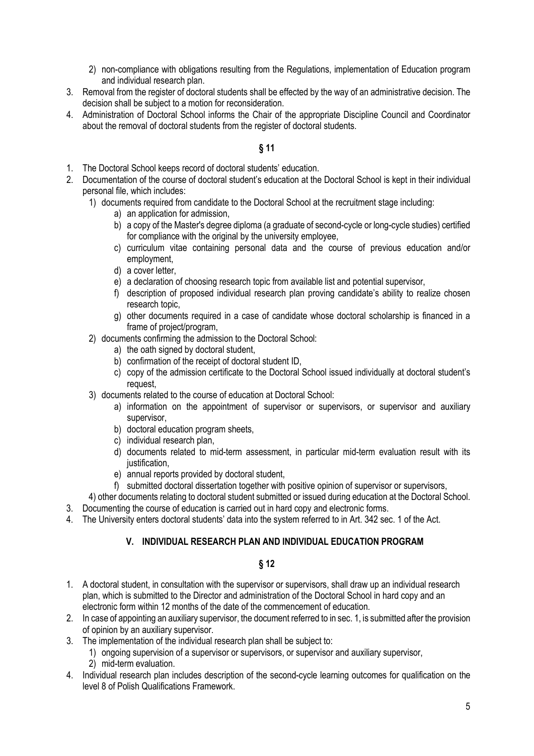- 2) non-compliance with obligations resulting from the Regulations, implementation of Education program and individual research plan.
- 3. Removal from the register of doctoral students shall be effected by the way of an administrative decision. The decision shall be subject to a motion for reconsideration.
- 4. Administration of Doctoral School informs the Chair of the appropriate Discipline Council and Coordinator about the removal of doctoral students from the register of doctoral students.

- 1. The Doctoral School keeps record of doctoral students' education.
- 2. Documentation of the course of doctoral student's education at the Doctoral School is kept in their individual personal file, which includes:
	- 1) documents required from candidate to the Doctoral School at the recruitment stage including:
		- a) an application for admission,
		- b) a copy of the Master's degree diploma (a graduate of second-cycle or long-cycle studies) certified for compliance with the original by the university employee,
		- c) curriculum vitae containing personal data and the course of previous education and/or employment,
		- d) a cover letter,
		- e) a declaration of choosing research topic from available list and potential supervisor,
		- f) description of proposed individual research plan proving candidate's ability to realize chosen research topic,
		- g) other documents required in a case of candidate whose doctoral scholarship is financed in a frame of project/program,
	- 2) documents confirming the admission to the Doctoral School:
		- a) the oath signed by doctoral student.
		- b) confirmation of the receipt of doctoral student ID,
		- c) copy of the admission certificate to the Doctoral School issued individually at doctoral student's request,
	- 3) documents related to the course of education at Doctoral School:
		- a) information on the appointment of supervisor or supervisors, or supervisor and auxiliary supervisor,
		- b) doctoral education program sheets,
		- c) individual research plan,
		- d) documents related to mid-term assessment, in particular mid-term evaluation result with its justification.
		- e) annual reports provided by doctoral student,
		- f) submitted doctoral dissertation together with positive opinion of supervisor or supervisors,
	- 4) other documents relating to doctoral student submitted or issued during education at the Doctoral School.
- 3. Documenting the course of education is carried out in hard copy and electronic forms.
- <span id="page-4-0"></span>4. The University enters doctoral students' data into the system referred to in Art. 342 sec. 1 of the Act.

# **V. INDIVIDUAL RESEARCH PLAN AND INDIVIDUAL EDUCATION PROGRAM**

- 1. A doctoral student, in consultation with the supervisor or supervisors, shall draw up an individual research plan, which is submitted to the Director and administration of the Doctoral School in hard copy and an electronic form within 12 months of the date of the commencement of education.
- 2. In case of appointing an auxiliary supervisor, the document referred to in sec. 1, is submitted after the provision of opinion by an auxiliary supervisor.
- 3. The implementation of the individual research plan shall be subject to:
	- 1) ongoing supervision of a supervisor or supervisors, or supervisor and auxiliary supervisor, 2) mid-term evaluation.
- 4. Individual research plan includes description of the second-cycle learning outcomes for qualification on the level 8 of Polish Qualifications Framework.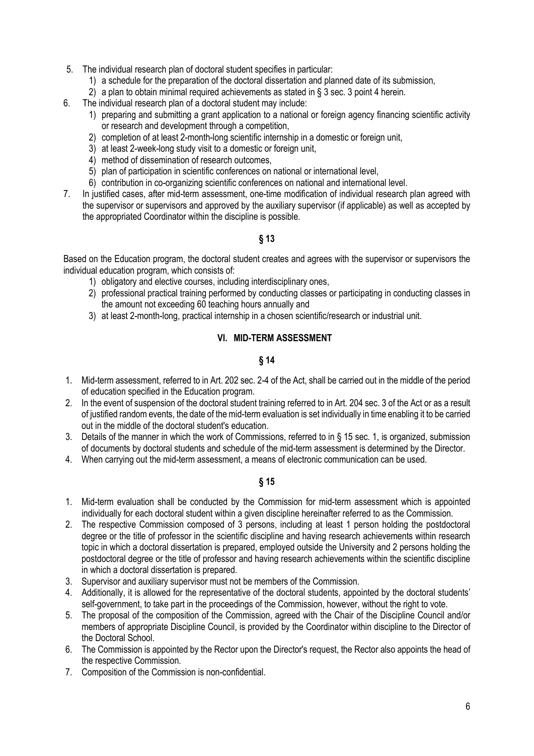- 5. The individual research plan of doctoral student specifies in particular:
	- 1) a schedule for the preparation of the doctoral dissertation and planned date of its submission,
	- 2) a plan to obtain minimal required achievements as stated in § 3 sec. 3 point 4 herein.
- 6. The individual research plan of a doctoral student may include:
	- 1) preparing and submitting a grant application to a national or foreign agency financing scientific activity or research and development through a competition,
	- 2) completion of at least 2-month-long scientific internship in a domestic or foreign unit,
	- 3) at least 2-week-long study visit to a domestic or foreign unit.
	- 4) method of dissemination of research outcomes,
	- 5) plan of participation in scientific conferences on national or international level,
	- 6) contribution in co-organizing scientific conferences on national and international level.
- 7. In justified cases, after mid-term assessment, one-time modification of individual research plan agreed with the supervisor or supervisors and approved by the auxiliary supervisor (if applicable) as well as accepted by the appropriated Coordinator within the discipline is possible.
	- **§ 13**

Based on the Education program, the doctoral student creates and agrees with the supervisor or supervisors the individual education program, which consists of:

- 1) obligatory and elective courses, including interdisciplinary ones,
- 2) professional practical training performed by conducting classes or participating in conducting classes in the amount not exceeding 60 teaching hours annually and
- <span id="page-5-0"></span>3) at least 2-month-long, practical internship in a chosen scientific/research or industrial unit.

# **VI. MID-TERM ASSESSMENT**

### **§ 14**

- 1. Mid-term assessment, referred to in Art. 202 sec. 2-4 of the Act, shall be carried out in the middle of the period of education specified in the Education program.
- 2. In the event of suspension of the doctoral student training referred to in Art. 204 sec. 3 of the Act or as a result of justified random events, the date of the mid-term evaluation is set individually in time enabling it to be carried out in the middle of the doctoral student's education.
- 3. Details of the manner in which the work of Commissions, referred to in § 15 sec. 1, is organized, submission of documents by doctoral students and schedule of the mid-term assessment is determined by the Director.
- 4. When carrying out the mid-term assessment, a means of electronic communication can be used.

- 1. Mid-term evaluation shall be conducted by the Commission for mid-term assessment which is appointed individually for each doctoral student within a given discipline hereinafter referred to as the Commission.
- 2. The respective Commission composed of 3 persons, including at least 1 person holding the postdoctoral degree or the title of professor in the scientific discipline and having research achievements within research topic in which a doctoral dissertation is prepared, employed outside the University and 2 persons holding the postdoctoral degree or the title of professor and having research achievements within the scientific discipline in which a doctoral dissertation is prepared.
- 3. Supervisor and auxiliary supervisor must not be members of the Commission.
- 4. Additionally, it is allowed for the representative of the doctoral students, appointed by the doctoral students' self-government, to take part in the proceedings of the Commission, however, without the right to vote.
- 5. The proposal of the composition of the Commission, agreed with the Chair of the Discipline Council and/or members of appropriate Discipline Council, is provided by the Coordinator within discipline to the Director of the Doctoral School.
- 6. The Commission is appointed by the Rector upon the Director's request, the Rector also appoints the head of the respective Commission.
- 7. Composition of the Commission is non-confidential.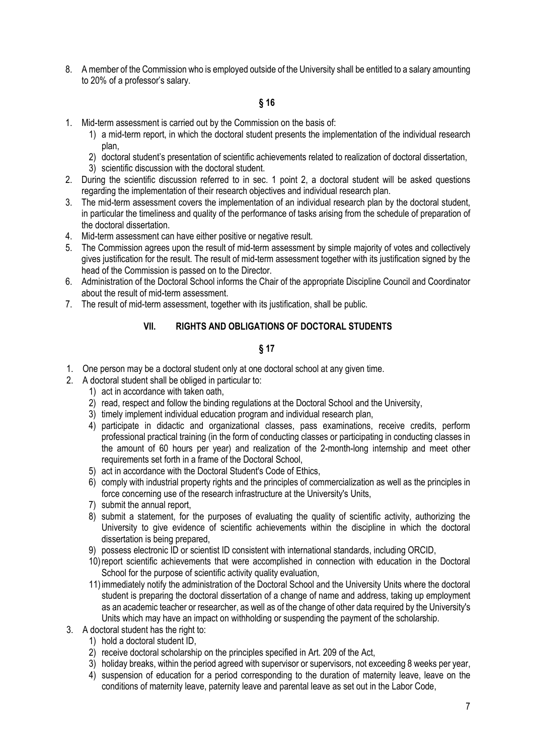8. A member of the Commission who is employed outside of the University shall be entitled to a salary amounting to 20% of a professor's salary.

# **§ 16**

- 1. Mid-term assessment is carried out by the Commission on the basis of:
	- 1) a mid-term report, in which the doctoral student presents the implementation of the individual research plan,
	- 2) doctoral student's presentation of scientific achievements related to realization of doctoral dissertation,
	- 3) scientific discussion with the doctoral student.
- 2. During the scientific discussion referred to in sec. 1 point 2, a doctoral student will be asked questions regarding the implementation of their research objectives and individual research plan.
- 3. The mid-term assessment covers the implementation of an individual research plan by the doctoral student, in particular the timeliness and quality of the performance of tasks arising from the schedule of preparation of the doctoral dissertation.
- 4. Mid-term assessment can have either positive or negative result.
- 5. The Commission agrees upon the result of mid-term assessment by simple majority of votes and collectively gives justification for the result. The result of mid-term assessment together with its justification signed by the head of the Commission is passed on to the Director.
- 6. Administration of the Doctoral School informs the Chair of the appropriate Discipline Council and Coordinator about the result of mid-term assessment.
- <span id="page-6-0"></span>7. The result of mid-term assessment, together with its justification, shall be public.

### **VII. RIGHTS AND OBLIGATIONS OF DOCTORAL STUDENTS**

- 1. One person may be a doctoral student only at one doctoral school at any given time.
- 2. A doctoral student shall be obliged in particular to:
	- 1) act in accordance with taken oath,
	- 2) read, respect and follow the binding regulations at the Doctoral School and the University,
	- 3) timely implement individual education program and individual research plan,
	- 4) participate in didactic and organizational classes, pass examinations, receive credits, perform professional practical training (in the form of conducting classes or participating in conducting classes in the amount of 60 hours per year) and realization of the 2-month-long internship and meet other requirements set forth in a frame of the Doctoral School,
	- 5) act in accordance with the Doctoral Student's Code of Ethics,
	- 6) comply with industrial property rights and the principles of commercialization as well as the principles in force concerning use of the research infrastructure at the University's Units,
	- 7) submit the annual report,
	- 8) submit a statement, for the purposes of evaluating the quality of scientific activity, authorizing the University to give evidence of scientific achievements within the discipline in which the doctoral dissertation is being prepared.
	- 9) possess electronic ID or scientist ID consistent with international standards, including ORCID,
	- 10)report scientific achievements that were accomplished in connection with education in the Doctoral School for the purpose of scientific activity quality evaluation,
	- 11)immediately notify the administration of the Doctoral School and the University Units where the doctoral student is preparing the doctoral dissertation of a change of name and address, taking up employment as an academic teacher or researcher, as well as of the change of other data required by the University's Units which may have an impact on withholding or suspending the payment of the scholarship.
- 3. A doctoral student has the right to:
	- 1) hold a doctoral student ID,
	- 2) receive doctoral scholarship on the principles specified in Art. 209 of the Act,
	- 3) holiday breaks, within the period agreed with supervisor or supervisors, not exceeding 8 weeks per year,
	- 4) suspension of education for a period corresponding to the duration of maternity leave, leave on the conditions of maternity leave, paternity leave and parental leave as set out in the Labor Code,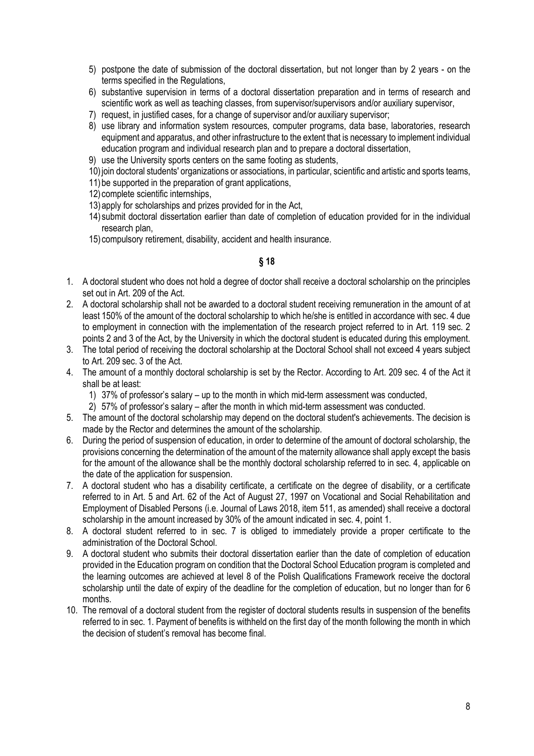- 5) postpone the date of submission of the doctoral dissertation, but not longer than by 2 years on the terms specified in the Regulations,
- 6) substantive supervision in terms of a doctoral dissertation preparation and in terms of research and scientific work as well as teaching classes, from supervisor/supervisors and/or auxiliary supervisor,
- 7) request, in justified cases, for a change of supervisor and/or auxiliary supervisor;
- 8) use library and information system resources, computer programs, data base, laboratories, research equipment and apparatus, and other infrastructure to the extent that is necessary to implement individual education program and individual research plan and to prepare a doctoral dissertation,
- 9) use the University sports centers on the same footing as students,
- 10)join doctoral students' organizations or associations, in particular, scientific and artistic and sports teams,
- 11)be supported in the preparation of grant applications,
- 12) complete scientific internships,
- 13)apply for scholarships and prizes provided for in the Act,
- 14) submit doctoral dissertation earlier than date of completion of education provided for in the individual research plan,
- 15) compulsory retirement, disability, accident and health insurance.

- 1. A doctoral student who does not hold a degree of doctor shall receive a doctoral scholarship on the principles set out in Art. 209 of the Act.
- 2. A doctoral scholarship shall not be awarded to a doctoral student receiving remuneration in the amount of at least 150% of the amount of the doctoral scholarship to which he/she is entitled in accordance with sec. 4 due to employment in connection with the implementation of the research project referred to in Art. 119 sec. 2 points 2 and 3 of the Act, by the University in which the doctoral student is educated during this employment.
- 3. The total period of receiving the doctoral scholarship at the Doctoral School shall not exceed 4 years subject to Art. 209 sec. 3 of the Act.
- 4. The amount of a monthly doctoral scholarship is set by the Rector. According to Art. 209 sec. 4 of the Act it shall be at least:
	- 1) 37% of professor's salary up to the month in which mid-term assessment was conducted,
	- 2) 57% of professor's salary after the month in which mid-term assessment was conducted.
- 5. The amount of the doctoral scholarship may depend on the doctoral student's achievements. The decision is made by the Rector and determines the amount of the scholarship.
- 6. During the period of suspension of education, in order to determine of the amount of doctoral scholarship, the provisions concerning the determination of the amount of the maternity allowance shall apply except the basis for the amount of the allowance shall be the monthly doctoral scholarship referred to in sec. 4, applicable on the date of the application for suspension.
- 7. A doctoral student who has a disability certificate, a certificate on the degree of disability, or a certificate referred to in Art. 5 and Art. 62 of the Act of August 27, 1997 on Vocational and Social Rehabilitation and Employment of Disabled Persons (i.e. Journal of Laws 2018, item 511, as amended) shall receive a doctoral scholarship in the amount increased by 30% of the amount indicated in sec. 4, point 1.
- 8. A doctoral student referred to in sec. 7 is obliged to immediately provide a proper certificate to the administration of the Doctoral School.
- 9. A doctoral student who submits their doctoral dissertation earlier than the date of completion of education provided in the Education program on condition that the Doctoral School Education program is completed and the learning outcomes are achieved at level 8 of the Polish Qualifications Framework receive the doctoral scholarship until the date of expiry of the deadline for the completion of education, but no longer than for 6 months.
- 10. The removal of a doctoral student from the register of doctoral students results in suspension of the benefits referred to in sec. 1. Payment of benefits is withheld on the first day of the month following the month in which the decision of student's removal has become final.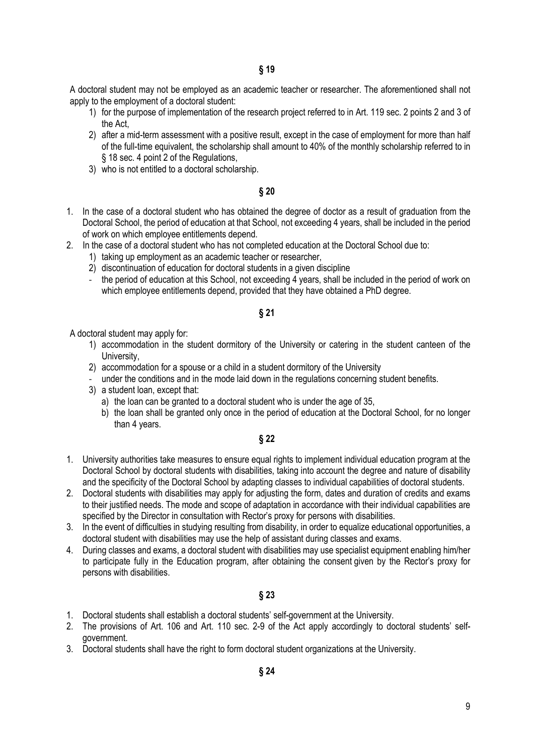A doctoral student may not be employed as an academic teacher or researcher. The aforementioned shall not apply to the employment of a doctoral student:

- 1) for the purpose of implementation of the research project referred to in Art. 119 sec. 2 points 2 and 3 of the Act,
- 2) after a mid-term assessment with a positive result, except in the case of employment for more than half of the full-time equivalent, the scholarship shall amount to 40% of the monthly scholarship referred to in § 18 sec. 4 point 2 of the Regulations,
- 3) who is not entitled to a doctoral scholarship.

#### **§ 20**

- 1. In the case of a doctoral student who has obtained the degree of doctor as a result of graduation from the Doctoral School, the period of education at that School, not exceeding 4 years, shall be included in the period of work on which employee entitlements depend.
- 2. In the case of a doctoral student who has not completed education at the Doctoral School due to:
	- 1) taking up employment as an academic teacher or researcher,
	- 2) discontinuation of education for doctoral students in a given discipline
	- the period of education at this School, not exceeding 4 years, shall be included in the period of work on which employee entitlements depend, provided that they have obtained a PhD degree.

#### **§ 21**

A doctoral student may apply for:

- 1) accommodation in the student dormitory of the University or catering in the student canteen of the University,
- 2) accommodation for a spouse or a child in a student dormitory of the University
- under the conditions and in the mode laid down in the regulations concerning student benefits.
- 3) a student loan, except that:
	- a) the loan can be granted to a doctoral student who is under the age of 35,
	- b) the loan shall be granted only once in the period of education at the Doctoral School, for no longer than 4 years.

### **§ 22**

- 1. University authorities take measures to ensure equal rights to implement individual education program at the Doctoral School by doctoral students with disabilities, taking into account the degree and nature of disability and the specificity of the Doctoral School by adapting classes to individual capabilities of doctoral students.
- 2. Doctoral students with disabilities may apply for adjusting the form, dates and duration of credits and exams to their justified needs. The mode and scope of adaptation in accordance with their individual capabilities are specified by the Director in consultation with Rector's proxy for persons with disabilities.
- 3. In the event of difficulties in studying resulting from disability, in order to equalize educational opportunities, a doctoral student with disabilities may use the help of assistant during classes and exams.
- 4. During classes and exams, a doctoral student with disabilities may use specialist equipment enabling him/her to participate fully in the Education program, after obtaining the consent given by the Rector's proxy for persons with disabilities.

- 1. Doctoral students shall establish a doctoral students' self-government at the University.
- 2. The provisions of Art. 106 and Art. 110 sec. 2-9 of the Act apply accordingly to doctoral students' selfgovernment.
- 3. Doctoral students shall have the right to form doctoral student organizations at the University.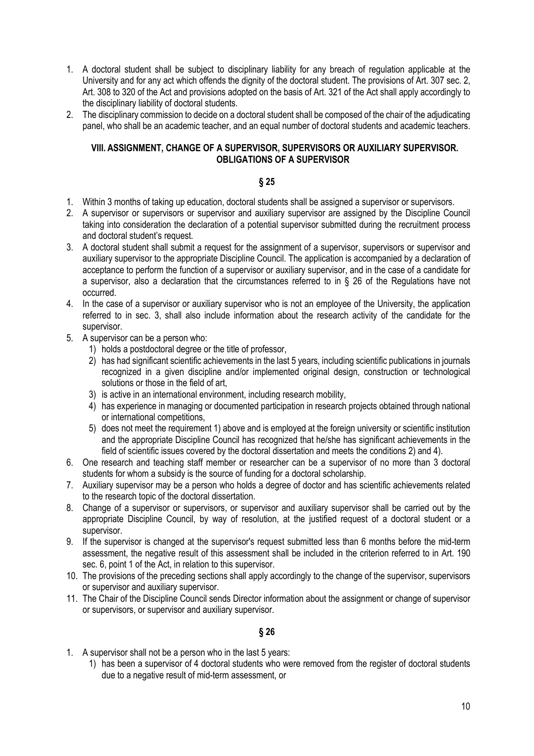- 1. A doctoral student shall be subject to disciplinary liability for any breach of regulation applicable at the University and for any act which offends the dignity of the doctoral student. The provisions of Art. 307 sec. 2, Art. 308 to 320 of the Act and provisions adopted on the basis of Art. 321 of the Act shall apply accordingly to the disciplinary liability of doctoral students.
- 2. The disciplinary commission to decide on a doctoral student shall be composed of the chair of the adjudicating panel, who shall be an academic teacher, and an equal number of doctoral students and academic teachers.

### <span id="page-9-0"></span>**VIII. ASSIGNMENT, CHANGE OF A SUPERVISOR, SUPERVISORS OR AUXILIARY SUPERVISOR. OBLIGATIONS OF A SUPERVISOR**

#### **§ 25**

- 1. Within 3 months of taking up education, doctoral students shall be assigned a supervisor or supervisors.
- 2. A supervisor or supervisors or supervisor and auxiliary supervisor are assigned by the Discipline Council taking into consideration the declaration of a potential supervisor submitted during the recruitment process and doctoral student's request.
- 3. A doctoral student shall submit a request for the assignment of a supervisor, supervisors or supervisor and auxiliary supervisor to the appropriate Discipline Council. The application is accompanied by a declaration of acceptance to perform the function of a supervisor or auxiliary supervisor, and in the case of a candidate for a supervisor, also a declaration that the circumstances referred to in § 26 of the Regulations have not occurred.
- 4. In the case of a supervisor or auxiliary supervisor who is not an employee of the University, the application referred to in sec. 3, shall also include information about the research activity of the candidate for the supervisor.
- 5. A supervisor can be a person who:
	- 1) holds a postdoctoral degree or the title of professor,
	- 2) has had significant scientific achievements in the last 5 years, including scientific publications in journals recognized in a given discipline and/or implemented original design, construction or technological solutions or those in the field of art,
	- 3) is active in an international environment, including research mobility,
	- 4) has experience in managing or documented participation in research projects obtained through national or international competitions,
	- 5) does not meet the requirement 1) above and is employed at the foreign university or scientific institution and the appropriate Discipline Council has recognized that he/she has significant achievements in the field of scientific issues covered by the doctoral dissertation and meets the conditions 2) and 4).
- 6. One research and teaching staff member or researcher can be a supervisor of no more than 3 doctoral students for whom a subsidy is the source of funding for a doctoral scholarship.
- 7. Auxiliary supervisor may be a person who holds a degree of doctor and has scientific achievements related to the research topic of the doctoral dissertation.
- 8. Change of a supervisor or supervisors, or supervisor and auxiliary supervisor shall be carried out by the appropriate Discipline Council, by way of resolution, at the justified request of a doctoral student or a supervisor.
- 9. If the supervisor is changed at the supervisor's request submitted less than 6 months before the mid-term assessment, the negative result of this assessment shall be included in the criterion referred to in Art. 190 sec. 6, point 1 of the Act, in relation to this supervisor.
- 10. The provisions of the preceding sections shall apply accordingly to the change of the supervisor, supervisors or supervisor and auxiliary supervisor.
- 11. The Chair of the Discipline Council sends Director information about the assignment or change of supervisor or supervisors, or supervisor and auxiliary supervisor.

- 1. A supervisor shall not be a person who in the last 5 years:
	- 1) has been a supervisor of 4 doctoral students who were removed from the register of doctoral students due to a negative result of mid-term assessment, or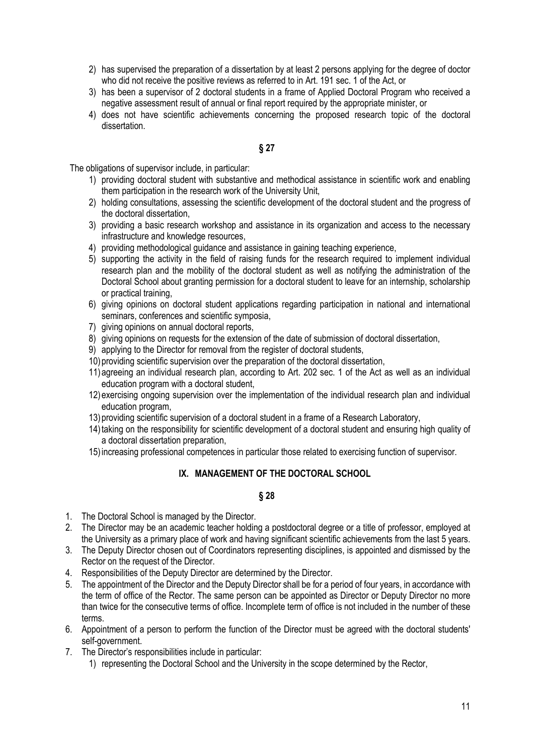- 2) has supervised the preparation of a dissertation by at least 2 persons applying for the degree of doctor who did not receive the positive reviews as referred to in Art. 191 sec. 1 of the Act, or
- 3) has been a supervisor of 2 doctoral students in a frame of Applied Doctoral Program who received a negative assessment result of annual or final report required by the appropriate minister, or
- 4) does not have scientific achievements concerning the proposed research topic of the doctoral dissertation.

The obligations of supervisor include, in particular:

- 1) providing doctoral student with substantive and methodical assistance in scientific work and enabling them participation in the research work of the University Unit,
- 2) holding consultations, assessing the scientific development of the doctoral student and the progress of the doctoral dissertation,
- 3) providing a basic research workshop and assistance in its organization and access to the necessary infrastructure and knowledge resources,
- 4) providing methodological guidance and assistance in gaining teaching experience,
- 5) supporting the activity in the field of raising funds for the research required to implement individual research plan and the mobility of the doctoral student as well as notifying the administration of the Doctoral School about granting permission for a doctoral student to leave for an internship, scholarship or practical training,
- 6) giving opinions on doctoral student applications regarding participation in national and international seminars, conferences and scientific symposia,
- 7) giving opinions on annual doctoral reports,
- 8) giving opinions on requests for the extension of the date of submission of doctoral dissertation,
- 9) applying to the Director for removal from the register of doctoral students,
- 10)providing scientific supervision over the preparation of the doctoral dissertation,
- 11)agreeing an individual research plan, according to Art. 202 sec. 1 of the Act as well as an individual education program with a doctoral student,
- 12)exercising ongoing supervision over the implementation of the individual research plan and individual education program,
- 13)providing scientific supervision of a doctoral student in a frame of a Research Laboratory,
- 14)taking on the responsibility for scientific development of a doctoral student and ensuring high quality of a doctoral dissertation preparation,
- <span id="page-10-0"></span>15)increasing professional competences in particular those related to exercising function of supervisor.

#### **IX. MANAGEMENT OF THE DOCTORAL SCHOOL**

- 1. The Doctoral School is managed by the Director.
- 2. The Director may be an academic teacher holding a postdoctoral degree or a title of professor, employed at the University as a primary place of work and having significant scientific achievements from the last 5 years.
- 3. The Deputy Director chosen out of Coordinators representing disciplines, is appointed and dismissed by the Rector on the request of the Director.
- 4. Responsibilities of the Deputy Director are determined by the Director.
- 5. The appointment of the Director and the Deputy Director shall be for a period of four years, in accordance with the term of office of the Rector. The same person can be appointed as Director or Deputy Director no more than twice for the consecutive terms of office. Incomplete term of office is not included in the number of these terms.
- 6. Appointment of a person to perform the function of the Director must be agreed with the doctoral students' self-government.
- 7. The Director's responsibilities include in particular:
	- 1) representing the Doctoral School and the University in the scope determined by the Rector,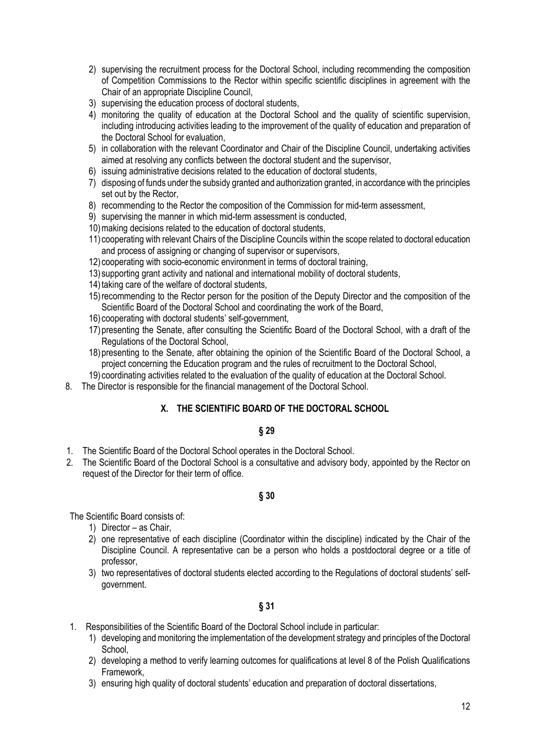- 2) supervising the recruitment process for the Doctoral School, including recommending the composition of Competition Commissions to the Rector within specific scientific disciplines in agreement with the Chair of an appropriate Discipline Council,
- 3) supervising the education process of doctoral students,
- 4) monitoring the quality of education at the Doctoral School and the quality of scientific supervision, including introducing activities leading to the improvement of the quality of education and preparation of the Doctoral School for evaluation,
- 5) in collaboration with the relevant Coordinator and Chair of the Discipline Council, undertaking activities aimed at resolving any conflicts between the doctoral student and the supervisor,
- 6) issuing administrative decisions related to the education of doctoral students,
- 7) disposing of funds under the subsidy granted and authorization granted, in accordance with the principles set out by the Rector,
- 8) recommending to the Rector the composition of the Commission for mid-term assessment,
- 9) supervising the manner in which mid-term assessment is conducted,
- 10) making decisions related to the education of doctoral students,
- 11) cooperating with relevant Chairs of the Discipline Councils within the scope related to doctoral education and process of assigning or changing of supervisor or supervisors,
- 12) cooperating with socio-economic environment in terms of doctoral training,
- 13) supporting grant activity and national and international mobility of doctoral students,
- 14) taking care of the welfare of doctoral students.
- 15)recommending to the Rector person for the position of the Deputy Director and the composition of the Scientific Board of the Doctoral School and coordinating the work of the Board,
- 16) cooperating with doctoral students' self-government,
- 17)presenting the Senate, after consulting the Scientific Board of the Doctoral School, with a draft of the Regulations of the Doctoral School,
- 18)presenting to the Senate, after obtaining the opinion of the Scientific Board of the Doctoral School, a project concerning the Education program and the rules of recruitment to the Doctoral School,
- 19) coordinating activities related to the evaluation of the quality of education at the Doctoral School.
- <span id="page-11-0"></span>8. The Director is responsible for the financial management of the Doctoral School.

#### **X. THE SCIENTIFIC BOARD OF THE DOCTORAL SCHOOL**

#### **§ 29**

- 1. The Scientific Board of the Doctoral School operates in the Doctoral School.
- 2. The Scientific Board of the Doctoral School is a consultative and advisory body, appointed by the Rector on request of the Director for their term of office.

### **§ 30**

The Scientific Board consists of:

- 1) Director as Chair,
- 2) one representative of each discipline (Coordinator within the discipline) indicated by the Chair of the Discipline Council. A representative can be a person who holds a postdoctoral degree or a title of professor,
- 3) two representatives of doctoral students elected according to the Regulations of doctoral students' selfgovernment.

- 1. Responsibilities of the Scientific Board of the Doctoral School include in particular:
	- 1) developing and monitoring the implementation of the development strategy and principles of the Doctoral School,
	- 2) developing a method to verify learning outcomes for qualifications at level 8 of the Polish Qualifications Framework,
	- 3) ensuring high quality of doctoral students' education and preparation of doctoral dissertations,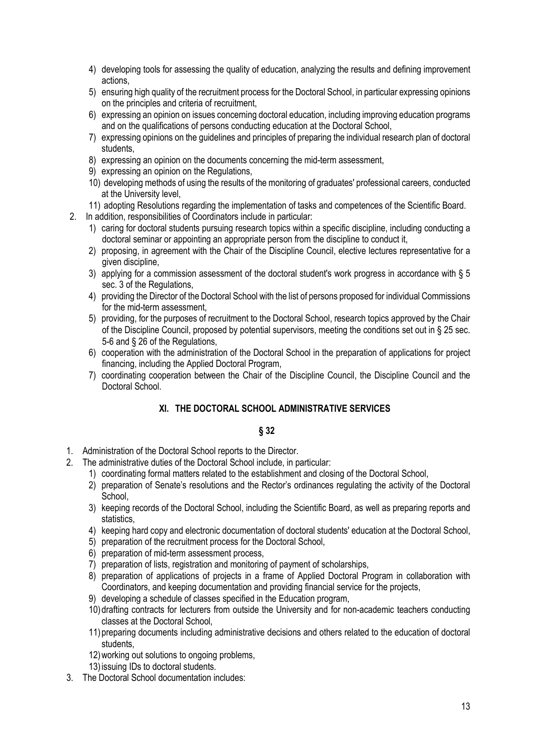- 4) developing tools for assessing the quality of education, analyzing the results and defining improvement actions,
- 5) ensuring high quality of the recruitment process for the Doctoral School, in particular expressing opinions on the principles and criteria of recruitment,
- 6) expressing an opinion on issues concerning doctoral education, including improving education programs and on the qualifications of persons conducting education at the Doctoral School,
- 7) expressing opinions on the guidelines and principles of preparing the individual research plan of doctoral students,
- 8) expressing an opinion on the documents concerning the mid-term assessment,
- 9) expressing an opinion on the Regulations,
- 10) developing methods of using the results of the monitoring of graduates' professional careers, conducted at the University level,
- 11) adopting Resolutions regarding the implementation of tasks and competences of the Scientific Board.
- 2. In addition, responsibilities of Coordinators include in particular:
	- 1) caring for doctoral students pursuing research topics within a specific discipline, including conducting a doctoral seminar or appointing an appropriate person from the discipline to conduct it,
	- 2) proposing, in agreement with the Chair of the Discipline Council, elective lectures representative for a given discipline,
	- 3) applying for a commission assessment of the doctoral student's work progress in accordance with  $\S 5$ sec. 3 of the Regulations,
	- 4) providing the Director of the Doctoral School with the list of persons proposed for individual Commissions for the mid-term assessment,
	- 5) providing, for the purposes of recruitment to the Doctoral School, research topics approved by the Chair of the Discipline Council, proposed by potential supervisors, meeting the conditions set out in § 25 sec. 5-6 and § 26 of the Regulations,
	- 6) cooperation with the administration of the Doctoral School in the preparation of applications for project financing, including the Applied Doctoral Program,
	- 7) coordinating cooperation between the Chair of the Discipline Council, the Discipline Council and the Doctoral School.

# **XI. THE DOCTORAL SCHOOL ADMINISTRATIVE SERVICES**

- <span id="page-12-0"></span>1. Administration of the Doctoral School reports to the Director.
- 2. The administrative duties of the Doctoral School include, in particular:
	- 1) coordinating formal matters related to the establishment and closing of the Doctoral School,
	- 2) preparation of Senate's resolutions and the Rector's ordinances regulating the activity of the Doctoral School,
	- 3) keeping records of the Doctoral School, including the Scientific Board, as well as preparing reports and statistics,
	- 4) keeping hard copy and electronic documentation of doctoral students' education at the Doctoral School,
	- 5) preparation of the recruitment process for the Doctoral School,
	- 6) preparation of mid-term assessment process,
	- 7) preparation of lists, registration and monitoring of payment of scholarships,
	- 8) preparation of applications of projects in a frame of Applied Doctoral Program in collaboration with Coordinators, and keeping documentation and providing financial service for the projects,
	- 9) developing a schedule of classes specified in the Education program,
	- 10)drafting contracts for lecturers from outside the University and for non-academic teachers conducting classes at the Doctoral School,
	- 11)preparing documents including administrative decisions and others related to the education of doctoral students.
	- 12)working out solutions to ongoing problems,
	- 13)issuing IDs to doctoral students.
- 3. The Doctoral School documentation includes: